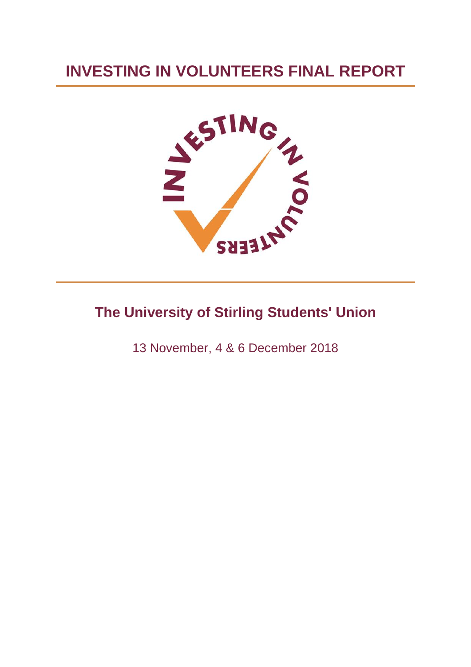# **INVESTING IN VOLUNTEERS FINAL REPORT**



# **The University of Stirling Students' Union**

13 November, 4 & 6 December 2018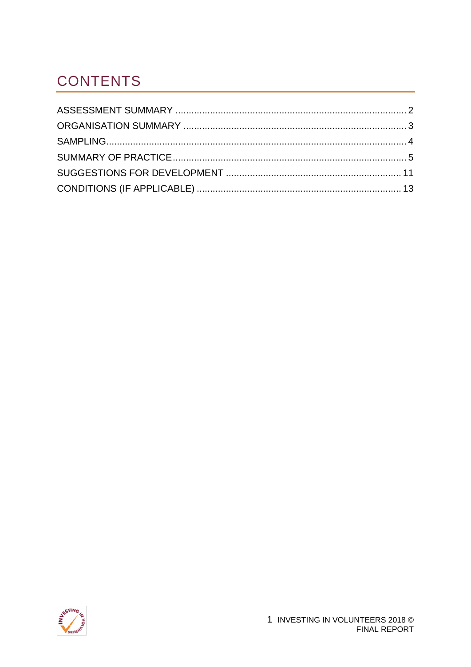# <span id="page-1-0"></span>**CONTENTS**

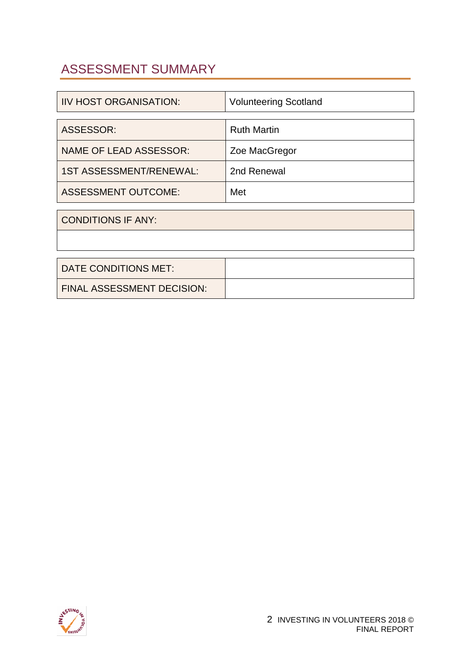### <span id="page-2-0"></span>[ASSESSMENT SUMMARY](#page-1-0)

| <b>IIV HOST ORGANISATION:</b>  | <b>Volunteering Scotland</b> |
|--------------------------------|------------------------------|
|                                |                              |
| ASSESSOR:                      | <b>Ruth Martin</b>           |
| <b>NAME OF LEAD ASSESSOR:</b>  | Zoe MacGregor                |
| <b>1ST ASSESSMENT/RENEWAL:</b> | 2nd Renewal                  |
| <b>ASSESSMENT OUTCOME:</b>     | Met                          |
|                                |                              |

CONDITIONS IF ANY:

| DATE CONDITIONS MET:       |  |
|----------------------------|--|
| FINAL ASSESSMENT DECISION: |  |

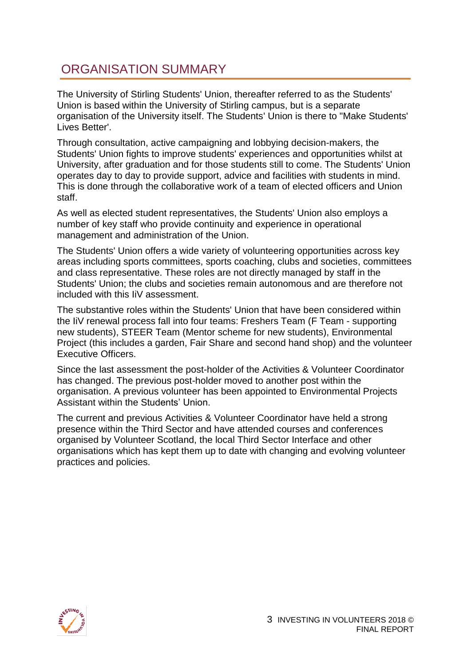### <span id="page-3-0"></span>[ORGANISATION SUMMARY](#page-1-0)

The University of Stirling Students' Union, thereafter referred to as the Students' Union is based within the University of Stirling campus, but is a separate organisation of the University itself. The Students' Union is there to "Make Students' Lives Better'.

Through consultation, active campaigning and lobbying decision-makers, the Students' Union fights to improve students' experiences and opportunities whilst at University, after graduation and for those students still to come. The Students' Union operates day to day to provide support, advice and facilities with students in mind. This is done through the collaborative work of a team of elected officers and Union staff.

As well as elected student representatives, the Students' Union also employs a number of key staff who provide continuity and experience in operational management and administration of the Union.

The Students' Union offers a wide variety of volunteering opportunities across key areas including sports committees, sports coaching, clubs and societies, committees and class representative. These roles are not directly managed by staff in the Students' Union; the clubs and societies remain autonomous and are therefore not included with this IiV assessment.

The substantive roles within the Students' Union that have been considered within the IiV renewal process fall into four teams: Freshers Team (F Team - supporting new students), STEER Team (Mentor scheme for new students), Environmental Project (this includes a garden, Fair Share and second hand shop) and the volunteer Executive Officers.

Since the last assessment the post-holder of the Activities & Volunteer Coordinator has changed. The previous post-holder moved to another post within the organisation. A previous volunteer has been appointed to Environmental Projects Assistant within the Students' Union.

The current and previous Activities & Volunteer Coordinator have held a strong presence within the Third Sector and have attended courses and conferences organised by Volunteer Scotland, the local Third Sector Interface and other organisations which has kept them up to date with changing and evolving volunteer practices and policies.

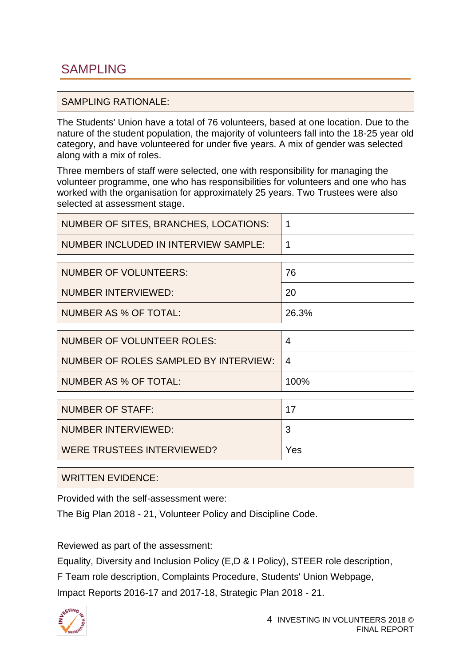#### <span id="page-4-0"></span>SAMPLING RATIONALE:

The Students' Union have a total of 76 volunteers, based at one location. Due to the nature of the student population, the majority of volunteers fall into the 18-25 year old category, and have volunteered for under five years. A mix of gender was selected along with a mix of roles.

Three members of staff were selected, one with responsibility for managing the volunteer programme, one who has responsibilities for volunteers and one who has worked with the organisation for approximately 25 years. Two Trustees were also selected at assessment stage.

| NUMBER OF SITES, BRANCHES, LOCATIONS: |  |
|---------------------------------------|--|
| NUMBER INCLUDED IN INTERVIEW SAMPLE:  |  |

| NUMBER OF VOLUNTEERS: | 76    |
|-----------------------|-------|
| NUMBER INTERVIEWED:   | 20    |
| NUMBER AS % OF TOTAL: | 26.3% |

| <b>NUMBER OF VOLUNTEER ROLES:</b>     | 4    |
|---------------------------------------|------|
| NUMBER OF ROLES SAMPLED BY INTERVIEW: | 4    |
| <b>NUMBER AS % OF TOTAL:</b>          | 100% |
|                                       |      |
| <b>NUMBER OF STAFF:</b>               | 17   |
| <b>NUMBER INTERVIEWED:</b>            | 3    |
| WERE TRUSTEES INTERVIEWED?            | Yes  |

WRITTEN EVIDENCE:

Provided with the self-assessment were:

The Big Plan 2018 - 21, Volunteer Policy and Discipline Code.

Reviewed as part of the assessment:

Equality, Diversity and Inclusion Policy (E,D & I Policy), STEER role description,

F Team role description, Complaints Procedure, Students' Union Webpage,

Impact Reports 2016-17 and 2017-18, Strategic Plan 2018 - 21.

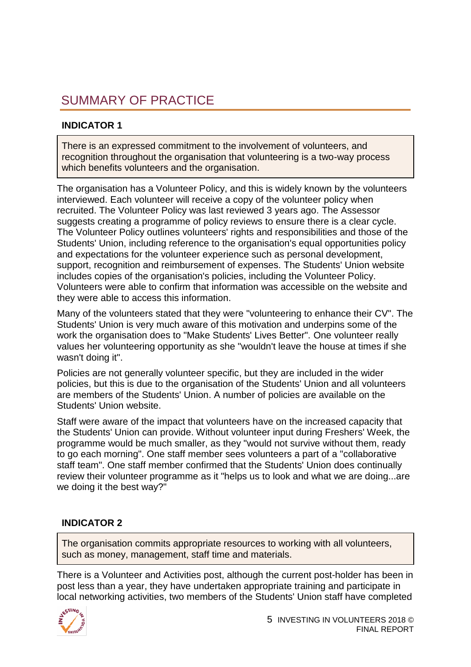### <span id="page-5-0"></span>[SUMMARY OF PRACTICE](#page-1-0)

#### **INDICATOR 1**

There is an expressed commitment to the involvement of volunteers, and recognition throughout the organisation that volunteering is a two-way process which benefits volunteers and the organisation.

The organisation has a Volunteer Policy, and this is widely known by the volunteers interviewed. Each volunteer will receive a copy of the volunteer policy when recruited. The Volunteer Policy was last reviewed 3 years ago. The Assessor suggests creating a programme of policy reviews to ensure there is a clear cycle. The Volunteer Policy outlines volunteers' rights and responsibilities and those of the Students' Union, including reference to the organisation's equal opportunities policy and expectations for the volunteer experience such as personal development, support, recognition and reimbursement of expenses. The Students' Union website includes copies of the organisation's policies, including the Volunteer Policy. Volunteers were able to confirm that information was accessible on the website and they were able to access this information.

Many of the volunteers stated that they were "volunteering to enhance their CV". The Students' Union is very much aware of this motivation and underpins some of the work the organisation does to "Make Students' Lives Better". One volunteer really values her volunteering opportunity as she "wouldn't leave the house at times if she wasn't doing it".

Policies are not generally volunteer specific, but they are included in the wider policies, but this is due to the organisation of the Students' Union and all volunteers are members of the Students' Union. A number of policies are available on the Students' Union website.

Staff were aware of the impact that volunteers have on the increased capacity that the Students' Union can provide. Without volunteer input during Freshers' Week, the programme would be much smaller, as they "would not survive without them, ready to go each morning". One staff member sees volunteers a part of a "collaborative staff team". One staff member confirmed that the Students' Union does continually review their volunteer programme as it "helps us to look and what we are doing...are we doing it the best way?"

#### **INDICATOR 2**

The organisation commits appropriate resources to working with all volunteers, such as money, management, staff time and materials.

There is a Volunteer and Activities post, although the current post-holder has been in post less than a year, they have undertaken appropriate training and participate in local networking activities, two members of the Students' Union staff have completed

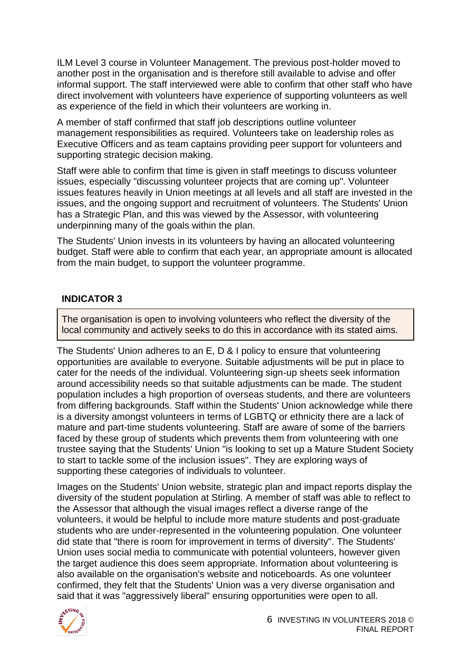ILM Level 3 course in Volunteer Management. The previous post-holder moved to another post in the organisation and is therefore still available to advise and offer informal support. The staff interviewed were able to confirm that other staff who have direct involvement with volunteers have experience of supporting volunteers as well as experience of the field in which their volunteers are working in.

A member of staff confirmed that staff job descriptions outline volunteer management responsibilities as required. Volunteers take on leadership roles as Executive Officers and as team captains providing peer support for volunteers and supporting strategic decision making.

Staff were able to confirm that time is given in staff meetings to discuss volunteer issues, especially "discussing volunteer projects that are coming up". Volunteer issues features heavily in Union meetings at all levels and all staff are invested in the issues, and the ongoing support and recruitment of volunteers. The Students' Union has a Strategic Plan, and this was viewed by the Assessor, with volunteering underpinning many of the goals within the plan.

The Students' Union invests in its volunteers by having an allocated volunteering budget. Staff were able to confirm that each year, an appropriate amount is allocated from the main budget, to support the volunteer programme.

#### **INDICATOR 3**

The organisation is open to involving volunteers who reflect the diversity of the local community and actively seeks to do this in accordance with its stated aims.

The Students' Union adheres to an E, D & I policy to ensure that volunteering opportunities are available to everyone. Suitable adjustments will be put in place to cater for the needs of the individual. Volunteering sign-up sheets seek information around accessibility needs so that suitable adjustments can be made. The student population includes a high proportion of overseas students, and there are volunteers from differing backgrounds. Staff within the Students' Union acknowledge while there is a diversity amongst volunteers in terms of LGBTQ or ethnicity there are a lack of mature and part-time students volunteering. Staff are aware of some of the barriers faced by these group of students which prevents them from volunteering with one trustee saying that the Students' Union "is looking to set up a Mature Student Society to start to tackle some of the inclusion issues". They are exploring ways of supporting these categories of individuals to volunteer.

Images on the Students' Union website, strategic plan and impact reports display the diversity of the student population at Stirling. A member of staff was able to reflect to the Assessor that although the visual images reflect a diverse range of the volunteers, it would be helpful to include more mature students and post-graduate students who are under-represented in the volunteering population. One volunteer did state that "there is room for improvement in terms of diversity". The Students' Union uses social media to communicate with potential volunteers, however given the target audience this does seem appropriate. Information about volunteering is also available on the organisation's website and noticeboards. As one volunteer confirmed, they felt that the Students' Union was a very diverse organisation and said that it was "aggressively liberal" ensuring opportunities were open to all.

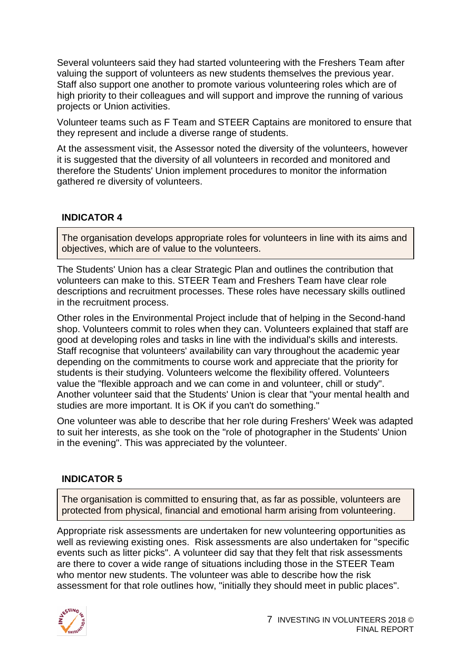Several volunteers said they had started volunteering with the Freshers Team after valuing the support of volunteers as new students themselves the previous year. Staff also support one another to promote various volunteering roles which are of high priority to their colleagues and will support and improve the running of various projects or Union activities.

Volunteer teams such as F Team and STEER Captains are monitored to ensure that they represent and include a diverse range of students.

At the assessment visit, the Assessor noted the diversity of the volunteers, however it is suggested that the diversity of all volunteers in recorded and monitored and therefore the Students' Union implement procedures to monitor the information gathered re diversity of volunteers.

#### **INDICATOR 4**

The organisation develops appropriate roles for volunteers in line with its aims and objectives, which are of value to the volunteers.

The Students' Union has a clear Strategic Plan and outlines the contribution that volunteers can make to this. STEER Team and Freshers Team have clear role descriptions and recruitment processes. These roles have necessary skills outlined in the recruitment process.

Other roles in the Environmental Project include that of helping in the Second-hand shop. Volunteers commit to roles when they can. Volunteers explained that staff are good at developing roles and tasks in line with the individual's skills and interests. Staff recognise that volunteers' availability can vary throughout the academic year depending on the commitments to course work and appreciate that the priority for students is their studying. Volunteers welcome the flexibility offered. Volunteers value the "flexible approach and we can come in and volunteer, chill or study". Another volunteer said that the Students' Union is clear that "your mental health and studies are more important. It is OK if you can't do something."

One volunteer was able to describe that her role during Freshers' Week was adapted to suit her interests, as she took on the "role of photographer in the Students' Union in the evening". This was appreciated by the volunteer.

#### **INDICATOR 5**

The organisation is committed to ensuring that, as far as possible, volunteers are protected from physical, financial and emotional harm arising from volunteering.

Appropriate risk assessments are undertaken for new volunteering opportunities as well as reviewing existing ones. Risk assessments are also undertaken for "specific events such as litter picks". A volunteer did say that they felt that risk assessments are there to cover a wide range of situations including those in the STEER Team who mentor new students. The volunteer was able to describe how the risk assessment for that role outlines how, "initially they should meet in public places".

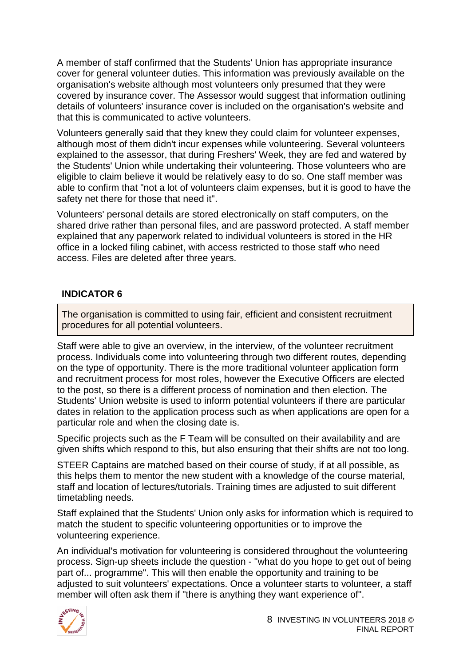A member of staff confirmed that the Students' Union has appropriate insurance cover for general volunteer duties. This information was previously available on the organisation's website although most volunteers only presumed that they were covered by insurance cover. The Assessor would suggest that information outlining details of volunteers' insurance cover is included on the organisation's website and that this is communicated to active volunteers.

Volunteers generally said that they knew they could claim for volunteer expenses, although most of them didn't incur expenses while volunteering. Several volunteers explained to the assessor, that during Freshers' Week, they are fed and watered by the Students' Union while undertaking their volunteering. Those volunteers who are eligible to claim believe it would be relatively easy to do so. One staff member was able to confirm that "not a lot of volunteers claim expenses, but it is good to have the safety net there for those that need it".

Volunteers' personal details are stored electronically on staff computers, on the shared drive rather than personal files, and are password protected. A staff member explained that any paperwork related to individual volunteers is stored in the HR office in a locked filing cabinet, with access restricted to those staff who need access. Files are deleted after three years.

#### **INDICATOR 6**

The organisation is committed to using fair, efficient and consistent recruitment procedures for all potential volunteers.

Staff were able to give an overview, in the interview, of the volunteer recruitment process. Individuals come into volunteering through two different routes, depending on the type of opportunity. There is the more traditional volunteer application form and recruitment process for most roles, however the Executive Officers are elected to the post, so there is a different process of nomination and then election. The Students' Union website is used to inform potential volunteers if there are particular dates in relation to the application process such as when applications are open for a particular role and when the closing date is.

Specific projects such as the F Team will be consulted on their availability and are given shifts which respond to this, but also ensuring that their shifts are not too long.

STEER Captains are matched based on their course of study, if at all possible, as this helps them to mentor the new student with a knowledge of the course material, staff and location of lectures/tutorials. Training times are adjusted to suit different timetabling needs.

Staff explained that the Students' Union only asks for information which is required to match the student to specific volunteering opportunities or to improve the volunteering experience.

An individual's motivation for volunteering is considered throughout the volunteering process. Sign-up sheets include the question - "what do you hope to get out of being part of... programme". This will then enable the opportunity and training to be adjusted to suit volunteers' expectations. Once a volunteer starts to volunteer, a staff member will often ask them if "there is anything they want experience of".

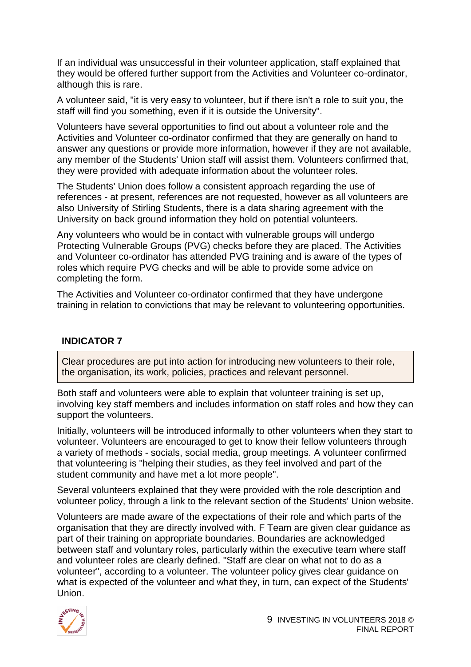If an individual was unsuccessful in their volunteer application, staff explained that they would be offered further support from the Activities and Volunteer co-ordinator, although this is rare.

A volunteer said, "it is very easy to volunteer, but if there isn't a role to suit you, the staff will find you something, even if it is outside the University".

Volunteers have several opportunities to find out about a volunteer role and the Activities and Volunteer co-ordinator confirmed that they are generally on hand to answer any questions or provide more information, however if they are not available, any member of the Students' Union staff will assist them. Volunteers confirmed that, they were provided with adequate information about the volunteer roles.

The Students' Union does follow a consistent approach regarding the use of references - at present, references are not requested, however as all volunteers are also University of Stirling Students, there is a data sharing agreement with the University on back ground information they hold on potential volunteers.

Any volunteers who would be in contact with vulnerable groups will undergo Protecting Vulnerable Groups (PVG) checks before they are placed. The Activities and Volunteer co-ordinator has attended PVG training and is aware of the types of roles which require PVG checks and will be able to provide some advice on completing the form.

The Activities and Volunteer co-ordinator confirmed that they have undergone training in relation to convictions that may be relevant to volunteering opportunities.

#### **INDICATOR 7**

Clear procedures are put into action for introducing new volunteers to their role, the organisation, its work, policies, practices and relevant personnel.

Both staff and volunteers were able to explain that volunteer training is set up, involving key staff members and includes information on staff roles and how they can support the volunteers.

Initially, volunteers will be introduced informally to other volunteers when they start to volunteer. Volunteers are encouraged to get to know their fellow volunteers through a variety of methods - socials, social media, group meetings. A volunteer confirmed that volunteering is "helping their studies, as they feel involved and part of the student community and have met a lot more people".

Several volunteers explained that they were provided with the role description and volunteer policy, through a link to the relevant section of the Students' Union website.

Volunteers are made aware of the expectations of their role and which parts of the organisation that they are directly involved with. F Team are given clear guidance as part of their training on appropriate boundaries. Boundaries are acknowledged between staff and voluntary roles, particularly within the executive team where staff and volunteer roles are clearly defined. "Staff are clear on what not to do as a volunteer", according to a volunteer. The volunteer policy gives clear guidance on what is expected of the volunteer and what they, in turn, can expect of the Students' Union.

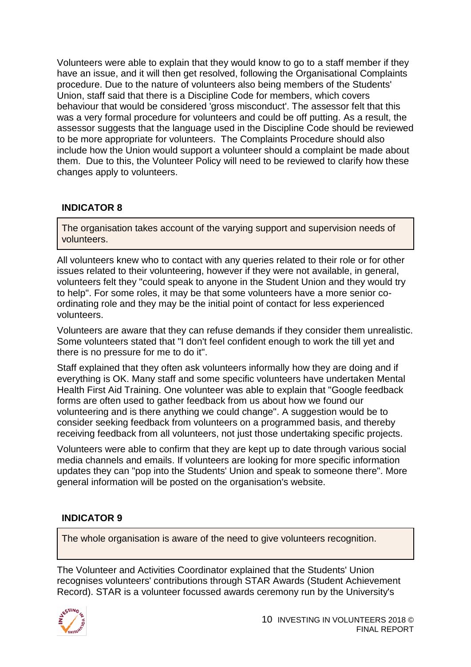Volunteers were able to explain that they would know to go to a staff member if they have an issue, and it will then get resolved, following the Organisational Complaints procedure. Due to the nature of volunteers also being members of the Students' Union, staff said that there is a Discipline Code for members, which covers behaviour that would be considered 'gross misconduct'. The assessor felt that this was a very formal procedure for volunteers and could be off putting. As a result, the assessor suggests that the language used in the Discipline Code should be reviewed to be more appropriate for volunteers. The Complaints Procedure should also include how the Union would support a volunteer should a complaint be made about them. Due to this, the Volunteer Policy will need to be reviewed to clarify how these changes apply to volunteers.

#### **INDICATOR 8**

The organisation takes account of the varying support and supervision needs of volunteers.

All volunteers knew who to contact with any queries related to their role or for other issues related to their volunteering, however if they were not available, in general, volunteers felt they "could speak to anyone in the Student Union and they would try to help". For some roles, it may be that some volunteers have a more senior coordinating role and they may be the initial point of contact for less experienced volunteers.

Volunteers are aware that they can refuse demands if they consider them unrealistic. Some volunteers stated that "I don't feel confident enough to work the till yet and there is no pressure for me to do it".

Staff explained that they often ask volunteers informally how they are doing and if everything is OK. Many staff and some specific volunteers have undertaken Mental Health First Aid Training. One volunteer was able to explain that "Google feedback forms are often used to gather feedback from us about how we found our volunteering and is there anything we could change". A suggestion would be to consider seeking feedback from volunteers on a programmed basis, and thereby receiving feedback from all volunteers, not just those undertaking specific projects.

Volunteers were able to confirm that they are kept up to date through various social media channels and emails. If volunteers are looking for more specific information updates they can "pop into the Students' Union and speak to someone there". More general information will be posted on the organisation's website.

#### **INDICATOR 9**

The whole organisation is aware of the need to give volunteers recognition.

The Volunteer and Activities Coordinator explained that the Students' Union recognises volunteers' contributions through STAR Awards (Student Achievement Record). STAR is a volunteer focussed awards ceremony run by the University's

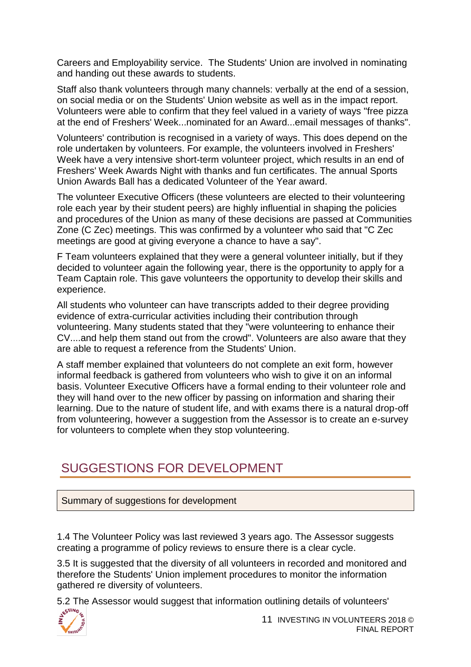Careers and Employability service. The Students' Union are involved in nominating and handing out these awards to students.

Staff also thank volunteers through many channels: verbally at the end of a session, on social media or on the Students' Union website as well as in the impact report. Volunteers were able to confirm that they feel valued in a variety of ways "free pizza at the end of Freshers' Week...nominated for an Award...email messages of thanks".

Volunteers' contribution is recognised in a variety of ways. This does depend on the role undertaken by volunteers. For example, the volunteers involved in Freshers' Week have a very intensive short-term volunteer project, which results in an end of Freshers' Week Awards Night with thanks and fun certificates. The annual Sports Union Awards Ball has a dedicated Volunteer of the Year award.

The volunteer Executive Officers (these volunteers are elected to their volunteering role each year by their student peers) are highly influential in shaping the policies and procedures of the Union as many of these decisions are passed at Communities Zone (C Zec) meetings. This was confirmed by a volunteer who said that "C Zec meetings are good at giving everyone a chance to have a say".

F Team volunteers explained that they were a general volunteer initially, but if they decided to volunteer again the following year, there is the opportunity to apply for a Team Captain role. This gave volunteers the opportunity to develop their skills and experience.

All students who volunteer can have transcripts added to their degree providing evidence of extra-curricular activities including their contribution through volunteering. Many students stated that they "were volunteering to enhance their CV....and help them stand out from the crowd". Volunteers are also aware that they are able to request a reference from the Students' Union.

A staff member explained that volunteers do not complete an exit form, however informal feedback is gathered from volunteers who wish to give it on an informal basis. Volunteer Executive Officers have a formal ending to their volunteer role and they will hand over to the new officer by passing on information and sharing their learning. Due to the nature of student life, and with exams there is a natural drop-off from volunteering, however a suggestion from the Assessor is to create an e-survey for volunteers to complete when they stop volunteering.

### <span id="page-11-0"></span>[SUGGESTIONS FOR DEVELOPMENT](#page-1-0)

Summary of suggestions for development

1.4 The Volunteer Policy was last reviewed 3 years ago. The Assessor suggests creating a programme of policy reviews to ensure there is a clear cycle.

3.5 It is suggested that the diversity of all volunteers in recorded and monitored and therefore the Students' Union implement procedures to monitor the information gathered re diversity of volunteers.

5.2 The Assessor would suggest that information outlining details of volunteers'

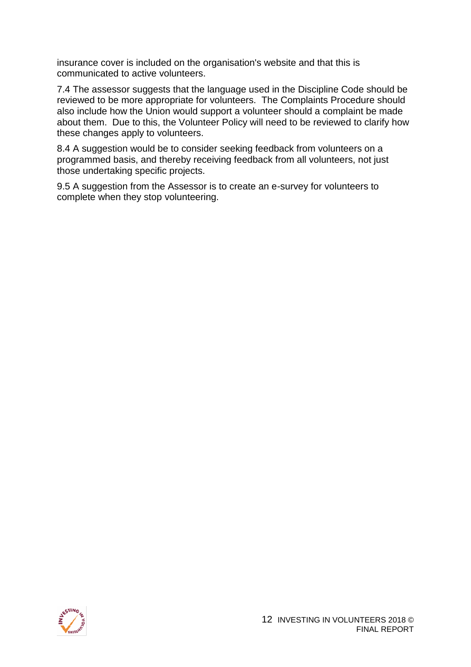insurance cover is included on the organisation's website and that this is communicated to active volunteers.

7.4 The assessor suggests that the language used in the Discipline Code should be reviewed to be more appropriate for volunteers. The Complaints Procedure should also include how the Union would support a volunteer should a complaint be made about them. Due to this, the Volunteer Policy will need to be reviewed to clarify how these changes apply to volunteers.

8.4 A suggestion would be to consider seeking feedback from volunteers on a programmed basis, and thereby receiving feedback from all volunteers, not just those undertaking specific projects.

9.5 A suggestion from the Assessor is to create an e-survey for volunteers to complete when they stop volunteering.